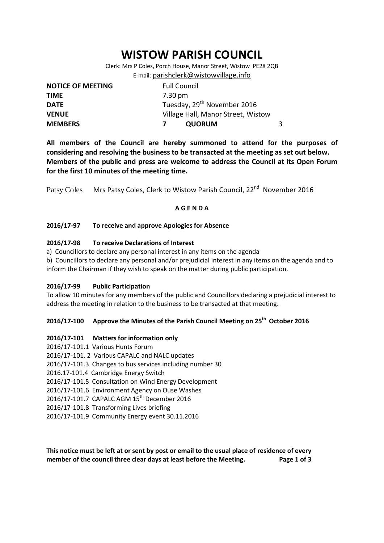# **WISTOW PARISH COUNCIL**

Clerk: Mrs P Coles, Porch House, Manor Street, Wistow PE28 2QB E-mail: [parishclerk@wistowvillage.info](mailto:parishclerk@wistowvillage.info)

| <b>NOTICE OF MEETING</b> | <b>Full Council</b>                     |   |
|--------------------------|-----------------------------------------|---|
| <b>TIME</b>              | 7.30 pm                                 |   |
| <b>DATE</b>              | Tuesday, 29 <sup>th</sup> November 2016 |   |
| <b>VENUE</b>             | Village Hall, Manor Street, Wistow      |   |
| <b>MEMBERS</b>           | <b>QUORUM</b>                           | 3 |

**All members of the Council are hereby summoned to attend for the purposes of considering and resolving the business to be transacted at the meeting as set out below. Members of the public and press are welcome to address the Council at its Open Forum for the first 10 minutes of the meeting time.**

Patsy Coles Mrs Patsy Coles, Clerk to Wistow Parish Council, 22<sup>nd</sup> November 2016

### **A G E N D A**

### **2016/17-97 To receive and approve Apologies for Absence**

## **2016/17-98 To receive Declarations of Interest**

- a) Councillors to declare any personal interest in any items on the agenda
- b) Councillors to declare any personal and/or prejudicial interest in any items on the agenda and to inform the Chairman if they wish to speak on the matter during public participation.

### **2016/17-99 Public Participation**

To allow 10 minutes for any members of the public and Councillors declaring a prejudicial interest to address the meeting in relation to the business to be transacted at that meeting.

# **2016/17-100 Approve the Minutes of the Parish Council Meeting on 25th October 2016**

### **2016/17-101 Matters for information only**

- 2016/17-101.1 Various Hunts Forum
- 2016/17-101. 2 Various CAPALC and NALC updates
- 2016/17-101.3 Changes to bus services including number 30
- 2016.17-101.4 Cambridge Energy Switch
- 2016/17-101.5 Consultation on Wind Energy Development
- 2016/17-101.6 Environment Agency on Ouse Washes
- 2016/17-101.7 CAPALC AGM 15<sup>th</sup> December 2016
- 2016/17-101.8 Transforming Lives briefing
- 2016/17-101.9 Community Energy event 30.11.2016

**This notice must be left at or sent by post or email to the usual place of residence of every member of the council three clear days at least before the Meeting. Page 1 of 3**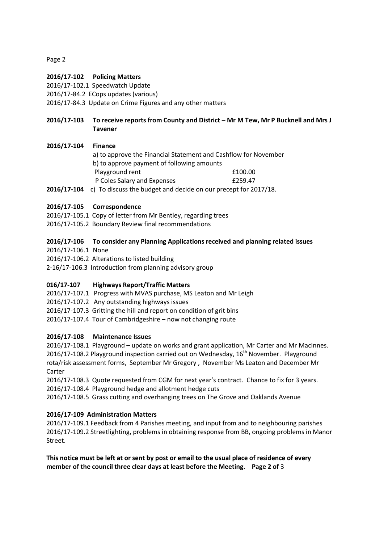Page 2

# **2016/17-102 Policing Matters**

2016/17-102.1 Speedwatch Update

2016/17-84.2 ECops updates (various)

2016/17-84.3 Update on Crime Figures and any other matters

# **2016/17-103 To receive reports from County and District – Mr M Tew, Mr P Bucknell and Mrs J Tavener**

## **2016/17-104 Finance**

- a) to approve the Financial Statement and Cashflow for November b) to approve payment of following amounts Playground rent <br>
E100.00 P Coles Salary and Expenses **E259.47**
- **2016/17-104** c) To discuss the budget and decide on our precept for 2017/18.

## **2016/17-105 Correspondence**

- 2016/17-105.1 Copy of letter from Mr Bentley, regarding trees
- 2016/17-105.2 Boundary Review final recommendations

## **2016/17-106 To consider any Planning Applications received and planning related issues**

2016/17-106.1 None

2016/17-106.2 Alterations to listed building

2-16/17-106.3 Introduction from planning advisory group

# **016/17-107 Highways Report/Traffic Matters**

2016/17-107.1 Progress with MVAS purchase, MS Leaton and Mr Leigh

2016/17-107.2 Any outstanding highways issues

2016/17-107.3 Gritting the hill and report on condition of grit bins

2016/17-107.4 Tour of Cambridgeshire – now not changing route

# **2016/17-108 Maintenance Issues**

2016/17-108.1 Playground – update on works and grant application, Mr Carter and Mr MacInnes. 2016/17-108.2 Playground inspection carried out on Wednesday,  $16<sup>th</sup>$  November. Playground rota/risk assessment forms, September Mr Gregory , November Ms Leaton and December Mr Carter

2016/17-108.3 Quote requested from CGM for next year's contract. Chance to fix for 3 years. 2016/17-108.4 Playground hedge and allotment hedge cuts

2016/17-108.5 Grass cutting and overhanging trees on The Grove and Oaklands Avenue

# **2016/17-109 Administration Matters**

2016/17-109.1 Feedback from 4 Parishes meeting, and input from and to neighbouring parishes 2016/17-109.2 Streetlighting, problems in obtaining response from BB, ongoing problems in Manor Street.

**This notice must be left at or sent by post or email to the usual place of residence of every member of the council three clear days at least before the Meeting. Page 2 of** 3